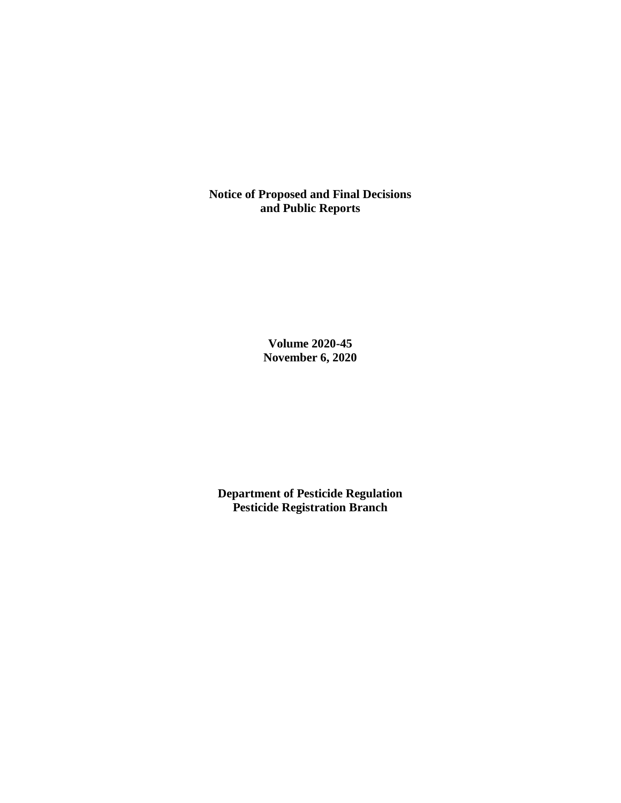**Notice of Proposed and Final Decisions and Public Reports**

> **Volume 2020-45 November 6, 2020**

**Department of Pesticide Regulation Pesticide Registration Branch**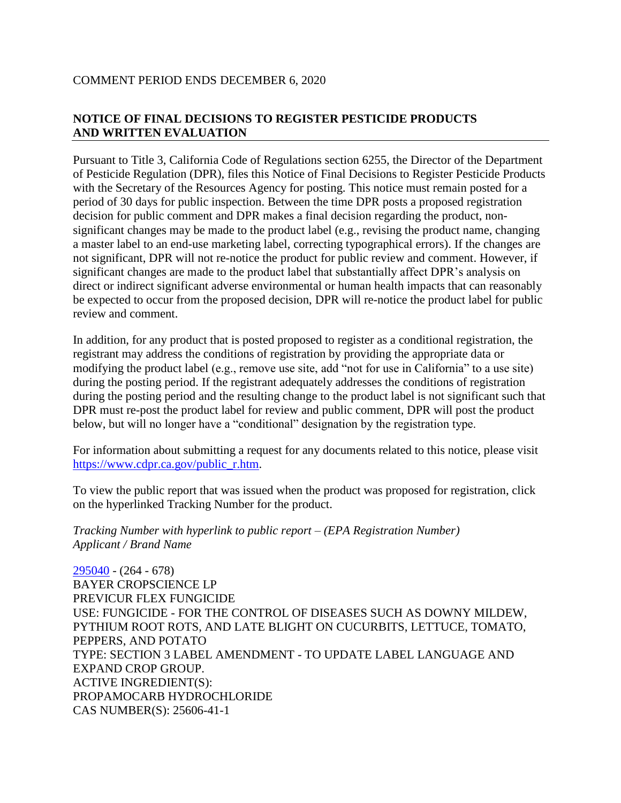## COMMENT PERIOD ENDS DECEMBER 6, 2020

# **NOTICE OF FINAL DECISIONS TO REGISTER PESTICIDE PRODUCTS AND WRITTEN EVALUATION**

Pursuant to Title 3, California Code of Regulations section 6255, the Director of the Department of Pesticide Regulation (DPR), files this Notice of Final Decisions to Register Pesticide Products with the Secretary of the Resources Agency for posting. This notice must remain posted for a period of 30 days for public inspection. Between the time DPR posts a proposed registration decision for public comment and DPR makes a final decision regarding the product, nonsignificant changes may be made to the product label (e.g., revising the product name, changing a master label to an end-use marketing label, correcting typographical errors). If the changes are not significant, DPR will not re-notice the product for public review and comment. However, if significant changes are made to the product label that substantially affect DPR's analysis on direct or indirect significant adverse environmental or human health impacts that can reasonably be expected to occur from the proposed decision, DPR will re-notice the product label for public review and comment.

In addition, for any product that is posted proposed to register as a conditional registration, the registrant may address the conditions of registration by providing the appropriate data or modifying the product label (e.g., remove use site, add "not for use in California" to a use site) during the posting period. If the registrant adequately addresses the conditions of registration during the posting period and the resulting change to the product label is not significant such that DPR must re-post the product label for review and public comment, DPR will post the product below, but will no longer have a "conditional" designation by the registration type.

For information about submitting a request for any documents related to this notice, please visit [https://www.cdpr.ca.gov/public\\_r.htm.](https://www.cdpr.ca.gov/public_r.htm)

To view the public report that was issued when the product was proposed for registration, click on the hyperlinked Tracking Number for the product.

*Tracking Number with hyperlink to public report – (EPA Registration Number) Applicant / Brand Name*

[295040](https://www.cdpr.ca.gov/docs/registration/nod/public_reports/295040.pdf) - (264 - 678) BAYER CROPSCIENCE LP PREVICUR FLEX FUNGICIDE USE: FUNGICIDE - FOR THE CONTROL OF DISEASES SUCH AS DOWNY MILDEW, PYTHIUM ROOT ROTS, AND LATE BLIGHT ON CUCURBITS, LETTUCE, TOMATO, PEPPERS, AND POTATO TYPE: SECTION 3 LABEL AMENDMENT - TO UPDATE LABEL LANGUAGE AND EXPAND CROP GROUP. ACTIVE INGREDIENT(S): PROPAMOCARB HYDROCHLORIDE CAS NUMBER(S): 25606-41-1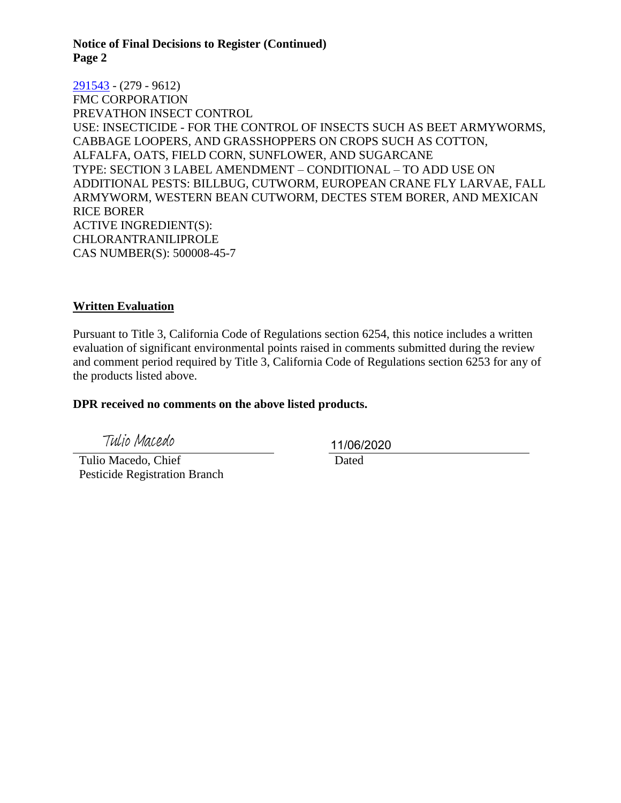**Notice of Final Decisions to Register (Continued) Page 2**

[291543](https://www.cdpr.ca.gov/docs/registration/nod/public_reports/291543.pdf) - (279 - 9612) FMC CORPORATION PREVATHON INSECT CONTROL USE: INSECTICIDE - FOR THE CONTROL OF INSECTS SUCH AS BEET ARMYWORMS, CABBAGE LOOPERS, AND GRASSHOPPERS ON CROPS SUCH AS COTTON, ALFALFA, OATS, FIELD CORN, SUNFLOWER, AND SUGARCANE TYPE: SECTION 3 LABEL AMENDMENT – CONDITIONAL – TO ADD USE ON ADDITIONAL PESTS: BILLBUG, CUTWORM, EUROPEAN CRANE FLY LARVAE, FALL ARMYWORM, WESTERN BEAN CUTWORM, DECTES STEM BORER, AND MEXICAN RICE BORER ACTIVE INGREDIENT(S): CHLORANTRANILIPROLE CAS NUMBER(S): 500008-45-7

#### **Written Evaluation**

Pursuant to Title 3, California Code of Regulations section 6254, this notice includes a written evaluation of significant environmental points raised in comments submitted during the review and comment period required by Title 3, California Code of Regulations section 6253 for any of the products listed above.

#### **DPR received no comments on the above listed products.**

Tulio Macedo

 Tulio Macedo, Chief Pesticide Registration Branch 11/06/2020

Dated